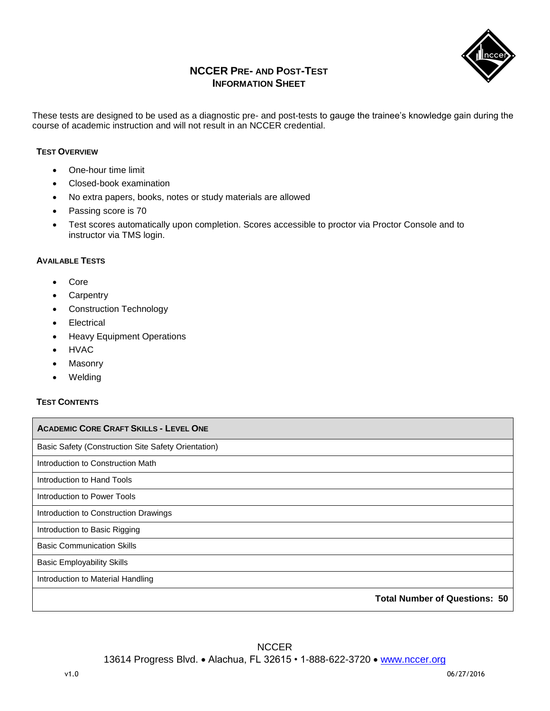

## **NCCER PRE- AND POST-TEST INFORMATION SHEET**

These tests are designed to be used as a diagnostic pre- and post-tests to gauge the trainee's knowledge gain during the course of academic instruction and will not result in an NCCER credential.

## **TEST OVERVIEW**

- One-hour time limit
- Closed-book examination
- No extra papers, books, notes or study materials are allowed
- Passing score is 70
- Test scores automatically upon completion. Scores accessible to proctor via Proctor Console and to instructor via TMS login.

## **AVAILABLE TESTS**

- Core
- Carpentry
- Construction Technology
- Electrical
- Heavy Equipment Operations
- HVAC
- Masonry
- Welding

## **TEST CONTENTS**

| <b>ACADEMIC CORE CRAFT SKILLS - LEVEL ONE</b>       |
|-----------------------------------------------------|
| Basic Safety (Construction Site Safety Orientation) |
| Introduction to Construction Math                   |
| Introduction to Hand Tools                          |
| Introduction to Power Tools                         |
| Introduction to Construction Drawings               |
| Introduction to Basic Rigging                       |
| <b>Basic Communication Skills</b>                   |
| <b>Basic Employability Skills</b>                   |
| Introduction to Material Handling                   |
| <b>Total Number of Questions: 50</b>                |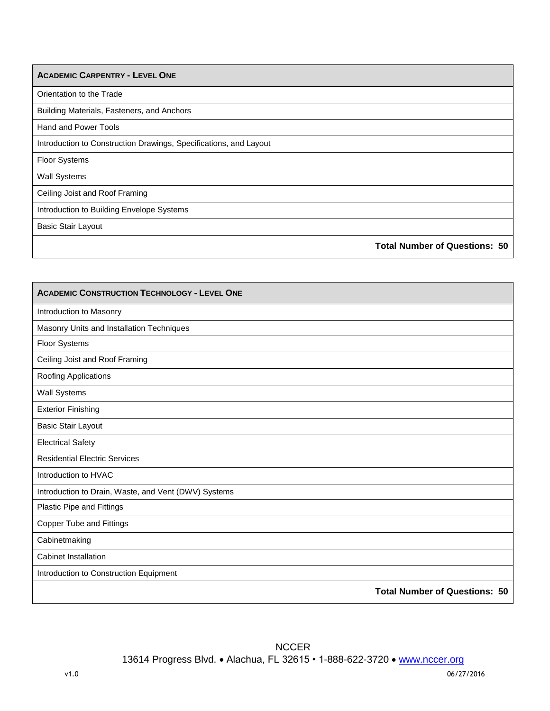| <b>ACADEMIC CARPENTRY - LEVEL ONE</b>                             |  |
|-------------------------------------------------------------------|--|
| Orientation to the Trade                                          |  |
| Building Materials, Fasteners, and Anchors                        |  |
| <b>Hand and Power Tools</b>                                       |  |
| Introduction to Construction Drawings, Specifications, and Layout |  |
| <b>Floor Systems</b>                                              |  |
| <b>Wall Systems</b>                                               |  |
| Ceiling Joist and Roof Framing                                    |  |
| Introduction to Building Envelope Systems                         |  |
| <b>Basic Stair Layout</b>                                         |  |
| <b>Total Number of Questions: 50</b>                              |  |

| <b>ACADEMIC CONSTRUCTION TECHNOLOGY - LEVEL ONE</b>  |
|------------------------------------------------------|
| Introduction to Masonry                              |
| Masonry Units and Installation Techniques            |
| <b>Floor Systems</b>                                 |
| Ceiling Joist and Roof Framing                       |
| Roofing Applications                                 |
| <b>Wall Systems</b>                                  |
| <b>Exterior Finishing</b>                            |
| <b>Basic Stair Layout</b>                            |
| <b>Electrical Safety</b>                             |
| <b>Residential Electric Services</b>                 |
| Introduction to HVAC                                 |
| Introduction to Drain, Waste, and Vent (DWV) Systems |
| Plastic Pipe and Fittings                            |
| <b>Copper Tube and Fittings</b>                      |
| Cabinetmaking                                        |
| Cabinet Installation                                 |
| Introduction to Construction Equipment               |
| <b>Total Number of Questions: 50</b>                 |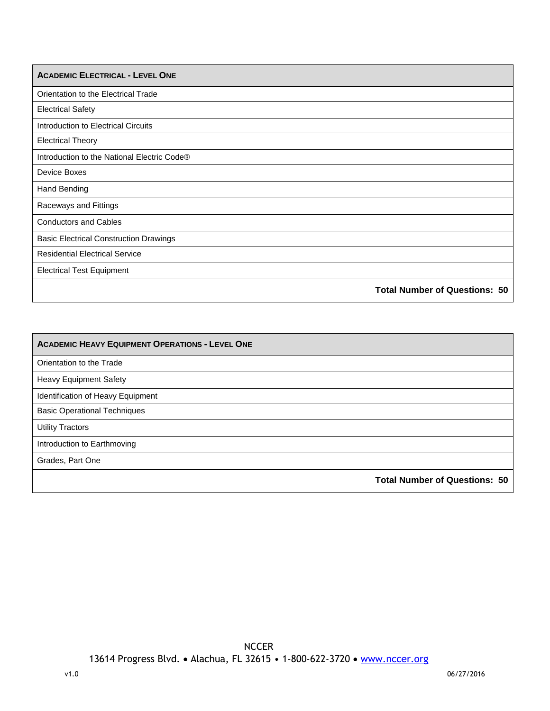| <b>ACADEMIC ELECTRICAL - LEVEL ONE</b>        |
|-----------------------------------------------|
| Orientation to the Electrical Trade           |
| <b>Electrical Safety</b>                      |
| Introduction to Electrical Circuits           |
| <b>Electrical Theory</b>                      |
| Introduction to the National Electric Code®   |
| Device Boxes                                  |
| <b>Hand Bending</b>                           |
| Raceways and Fittings                         |
| <b>Conductors and Cables</b>                  |
| <b>Basic Electrical Construction Drawings</b> |
| <b>Residential Electrical Service</b>         |
| <b>Electrical Test Equipment</b>              |
| <b>Total Number of Questions: 50</b>          |

| <b>ACADEMIC HEAVY EQUIPMENT OPERATIONS - LEVEL ONE</b> |                                      |
|--------------------------------------------------------|--------------------------------------|
| Orientation to the Trade                               |                                      |
| <b>Heavy Equipment Safety</b>                          |                                      |
| Identification of Heavy Equipment                      |                                      |
| <b>Basic Operational Techniques</b>                    |                                      |
| <b>Utility Tractors</b>                                |                                      |
| Introduction to Earthmoving                            |                                      |
| Grades, Part One                                       |                                      |
|                                                        | <b>Total Number of Questions: 50</b> |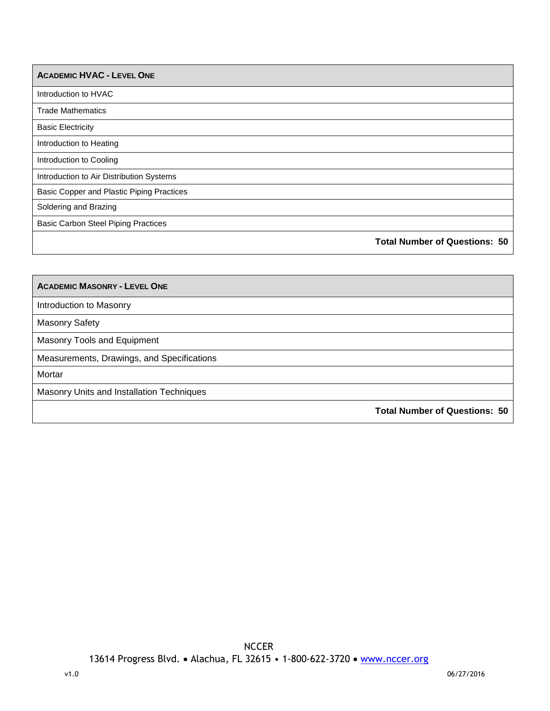| <b>ACADEMIC HVAC - LEVEL ONE</b>           |                                      |
|--------------------------------------------|--------------------------------------|
| Introduction to HVAC                       |                                      |
| <b>Trade Mathematics</b>                   |                                      |
| <b>Basic Electricity</b>                   |                                      |
| Introduction to Heating                    |                                      |
| Introduction to Cooling                    |                                      |
| Introduction to Air Distribution Systems   |                                      |
| Basic Copper and Plastic Piping Practices  |                                      |
| Soldering and Brazing                      |                                      |
| <b>Basic Carbon Steel Piping Practices</b> |                                      |
|                                            | <b>Total Number of Questions: 50</b> |

| <b>ACADEMIC MASONRY - LEVEL ONE</b>        |
|--------------------------------------------|
| Introduction to Masonry                    |
| <b>Masonry Safety</b>                      |
| Masonry Tools and Equipment                |
| Measurements, Drawings, and Specifications |
| Mortar                                     |
| Masonry Units and Installation Techniques  |
| <b>Total Number of Questions: 50</b>       |